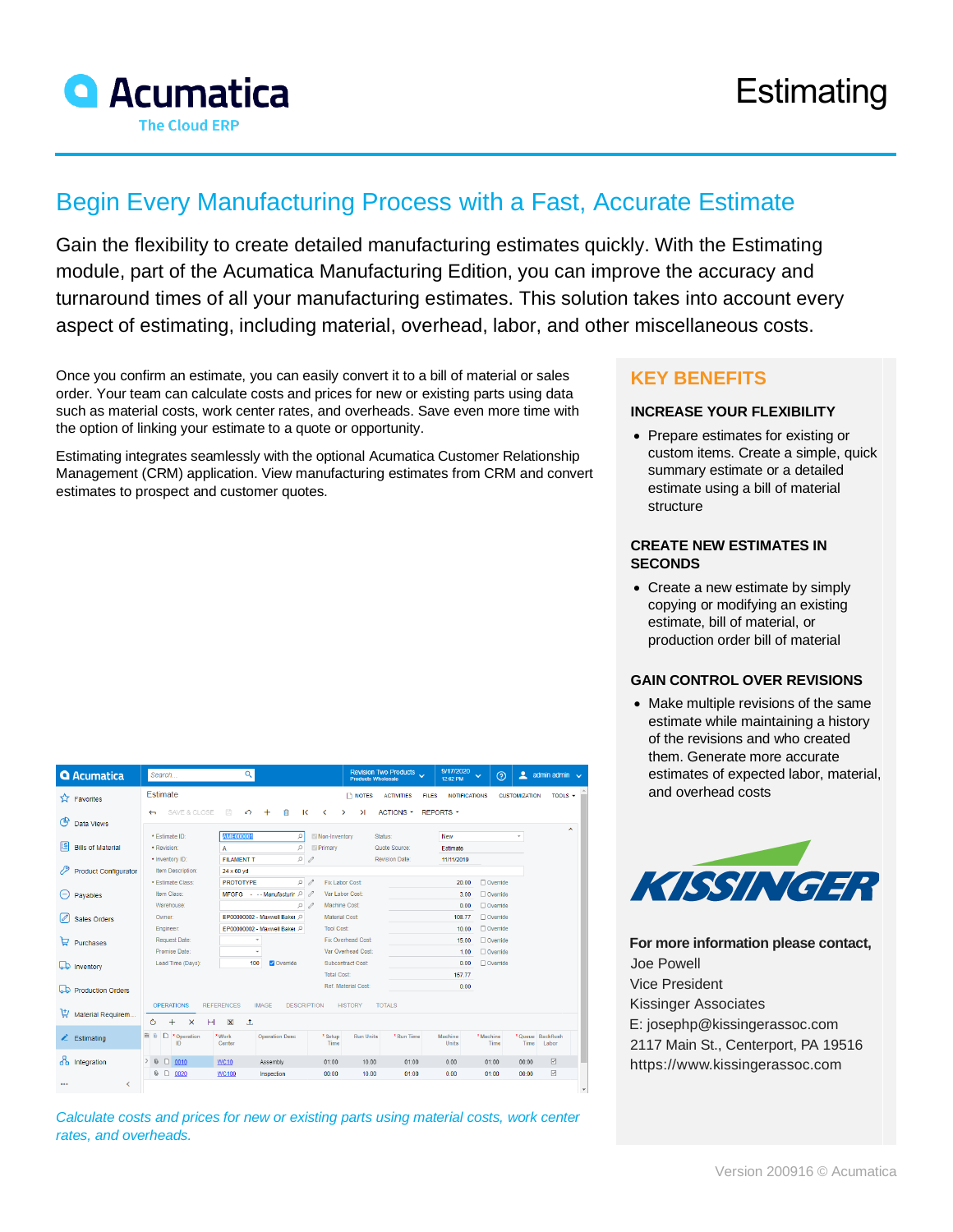

# Begin Every Manufacturing Process with a Fast, Accurate Estimate

Gain the flexibility to create detailed manufacturing estimates quickly. With the Estimating module, part of the Acumatica Manufacturing Edition, you can improve the accuracy and turnaround times of all your manufacturing estimates. This solution takes into account every aspect of estimating, including material, overhead, labor, and other miscellaneous costs.

Once you confirm an estimate, you can easily convert it to a bill of material or sales order. Your team can calculate costs and prices for new or existing parts using data such as material costs, work center rates, and overheads. Save even more time with the option of linking your estimate to a quote or opportunity.

Estimating integrates seamlessly with the optional Acumatica Customer Relationship Management (CRM) application. View manufacturing estimates from CRM and convert estimates to prospect and customer quotes.

|  |  | e i |  |  |
|--|--|-----|--|--|
|--|--|-----|--|--|

#### **INCREASE YOUR FLEXIBILITY**

• Prepare estimates for existing or custom items. Create a simple, quick summary estimate or a detailed estimate using a bill of material structure

#### **CREATE NEW ESTIMATES IN SECONDS**

• Create a new estimate by simply copying or modifying an existing estimate, bill of material, or production order bill of material

#### **GAIN CONTROL OVER REVISIONS**

• Make multiple revisions of the same estimate while maintaining a history of the revisions and who created them. Generate more accurate estimates of expected labor, material, and overhead costs



**For more information please contact,** Joe Powell Vice President Kissinger Associates [E: josephp@kissingerassoc.com](mailto:josephp@kissingerassoc.com) 2117 Main St., Centerport, PA 19516 [https://www.kissingerassoc.com](https://www.kissingerassoc.com/)

| <b>Q</b> Acumatica                | $\alpha$<br>Search                                                                                               |                                                                    | 9/17/2020<br>Revision Two Products<br>Products Wholesale<br>12:02 PM | $\odot$<br>≗<br>admin admin $\sqrt{}$<br>$\checkmark$  |
|-----------------------------------|------------------------------------------------------------------------------------------------------------------|--------------------------------------------------------------------|----------------------------------------------------------------------|--------------------------------------------------------|
| Favorites<br>ጚፇ                   | Estimate                                                                                                         | notes                                                              | <b>ACTIVITIES</b><br><b>FILES</b><br><b>NOTIFICATIONS</b>            | <b>CUSTOMIZATION</b><br>TOOLS $\sim$                   |
| ඦ<br>Data Views                   | SAVE & CLOSE<br>$\Box$<br>尙<br>$\Omega$<br>$\ddot{}$<br>$\leftarrow$                                             | $\overline{\mathbf{K}}$<br>$\rightarrow$<br>$\geq$<br>∢            | <b>ACTIONS -</b><br><b>REPORTS -</b>                                 | $\sim$                                                 |
| 麠<br><b>Bills of Material</b>     | <b>AME000001</b><br>* Estimate ID:<br>· Revision:<br>А                                                           | Non-Inventory<br>ρ<br>Q<br>Primary                                 | New<br>Status:<br>Quote Source:<br><b>Estimate</b>                   | $\checkmark$                                           |
| 79<br><b>Product Configurator</b> | * Inventory ID:<br><b>FILAMENT T</b><br>Item Description:<br>$24 \times 60$ yd                                   | Q<br>0                                                             | <b>Revision Date:</b><br>11/11/2019                                  |                                                        |
| Pavables                          | * Estimate Class:<br><b>PROTOTYPE</b><br>Item Class:<br>MFGFG - -- Manufacturin P                                | Q<br>Fix Labor Cost:<br>0<br>Var Labor Cost:<br>0<br>Machine Cost: | 20.00<br>3.00                                                        | $\Box$ Override<br>$\Box$ Override                     |
| <b>Sales Orders</b>               | Warehouse:<br>EP00000002 - Maxwell Baker<br>Owner:<br>EP00000002 - Maxwell Baker<br>Engineer:                    | $\circ$<br>Material Cost:<br><b>Tool Cost:</b>                     | 0.00<br>108.77<br>10.00                                              | $\Box$ Override<br>$\Box$ Override<br>Override         |
| ロ<br>Purchases                    | <b>Request Date:</b><br>٠<br>Promise Date:                                                                       | Fix Overhead Cost:<br>Var Overhead Cost:                           | 15.00<br>1.00                                                        | $\Box$ Override<br>$\Box$ Override                     |
| هما<br>Inventory                  | 100<br>Override<br>Lead Time (Days):                                                                             | Subcontract Cost:<br><b>Total Cost:</b>                            | 0.00<br>157.77                                                       | $\Box$ Override                                        |
| <b>Production Orders</b><br>ھہ    |                                                                                                                  | Ref. Material Cost:                                                | 0.00                                                                 |                                                        |
| ٣<br>Material Requirem            | <b>OPERATIONS</b><br><b>REFERENCES</b><br><b>IMAGE</b><br>Ò<br>$\boxed{\mathbf{x}}$<br>土<br>$+$<br>$\times$<br>H | <b>DESCRIPTION</b><br><b>HISTORY</b>                               | <b>TOTALS</b>                                                        |                                                        |
| $\angle$ Estimating               | <b>B</b> 0<br>D<br>* Operation<br>*Work<br><b>Operation Desc</b><br>ID<br>Center                                 | * Setup<br><b>Run Units</b><br>Time                                | *Run Time<br>Machine<br>Units                                        | * Machine<br>*Queue Backflush<br>Time<br>Time<br>Labor |
| ᄶ<br>Integration                  | $\Box$<br>$>$ 0<br>0010<br><b>WC10</b><br>Assembly                                                               | 01:00<br>10.00                                                     | 01:00<br>0.00                                                        | ☑<br>01:00<br>00:00                                    |
| K<br>                             | 0 D<br>0020<br><b>WC100</b><br>Inspection                                                                        | 00:00<br>10.00                                                     | 01:00<br>0.00                                                        | $\overline{\vee}$<br>01:00<br>00:00                    |

*Calculate costs and prices for new or existing parts using material costs, work center rates, and overheads.*